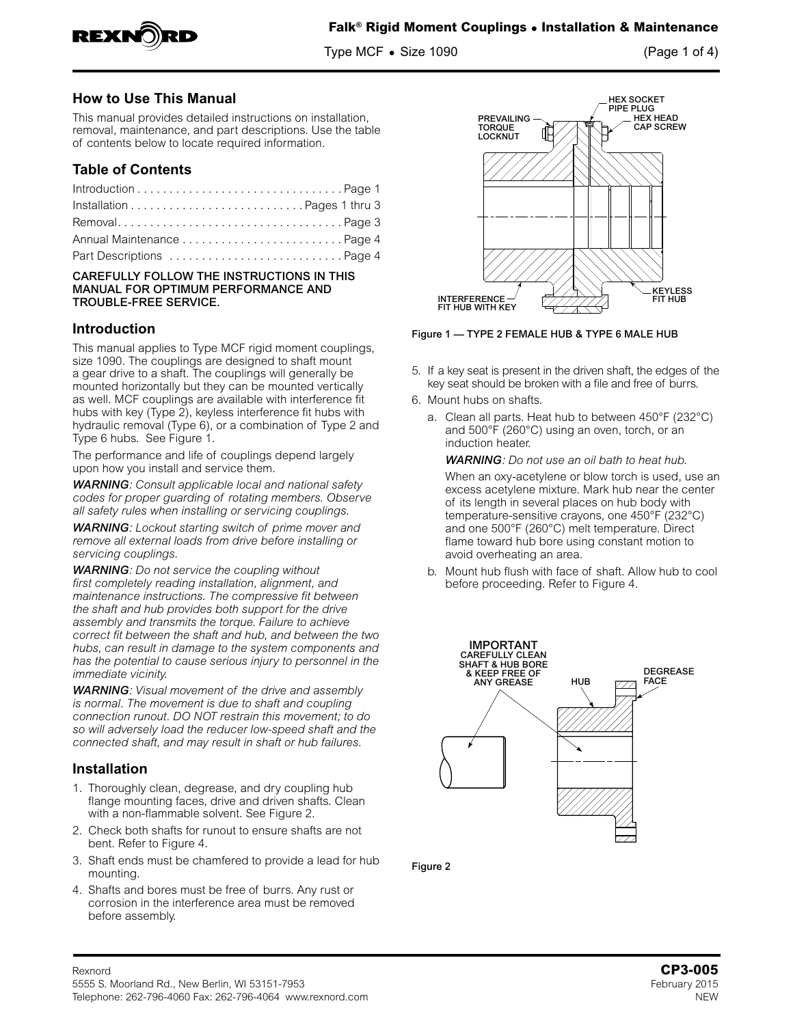

Type MCF **•** Size 1090 (Page 1 of 4)

# **How to Use This Manual**

This manual provides detailed instructions on installation, removal, maintenance, and part descriptions. Use the table of contents below to locate required information.

## **Table of Contents**

| RemovalPage 3             |  |
|---------------------------|--|
|                           |  |
| Part Descriptions  Page 4 |  |

#### CAREFULLY FOLLOW THE INSTRUCTIONS IN THIS MANUAL FOR OPTIMUM PERFORMANCE AND TROUBLE-FREE SERVICE.

## **Introduction**

This manual applies to Type MCF rigid moment couplings, size 1090. The couplings are designed to shaft mount a gear drive to a shaft. The couplings will generally be mounted horizontally but they can be mounted vertically as well. MCF couplings are available with interference fit hubs with key (Type 2), keyless interference fit hubs with hydraulic removal (Type 6), or a combination of Type 2 and Type 6 hubs. See Figure 1.

The performance and life of couplings depend largely upon how you install and service them.

*WARNING: Consult applicable local and national safety codes for proper guarding of rotating members. Observe all safety rules when installing or servicing couplings.*

*WARNING: Lockout starting switch of prime mover and remove all external loads from drive before installing or servicing couplings.* 

*WARNING: Do not service the coupling without first completely reading installation, alignment, and maintenance instructions. The compressive fit between the shaft and hub provides both support for the drive assembly and transmits the torque. Failure to achieve correct fit between the shaft and hub, and between the two hubs, can result in damage to the system components and has the potential to cause serious injury to personnel in the immediate vicinity.*

*WARNING: Visual movement of the drive and assembly is normal. The movement is due to shaft and coupling connection runout. DO NOT restrain this movement; to do so will adversely load the reducer low-speed shaft and the connected shaft, and may result in shaft or hub failures.*

## **Installation**

- 1. Thoroughly clean, degrease, and dry coupling hub flange mounting faces, drive and driven shafts. Clean with a non-flammable solvent. See Figure 2.
- 2. Check both shafts for runout to ensure shafts are not bent. Refer to Figure 4.
- 3. Shaft ends must be chamfered to provide a lead for hub mounting.
- 4. Shafts and bores must be free of burrs. Any rust or corrosion in the interference area must be removed before assembly.



Figure 1 — TYPE 2 FEMALE HUB & TYPE 6 MALE HUB

- 5. If a key seat is present in the driven shaft, the edges of the key seat should be broken with a file and free of burrs.
- 6. Mount hubs on shafts.
	- a. Clean all parts. Heat hub to between 450°F (232°C) and 500°F (260°C) using an oven, torch, or an induction heater.

*WARNING: Do not use an oil bath to heat hub.*

When an oxy-acetylene or blow torch is used, use an excess acetylene mixture. Mark hub near the center of its length in several places on hub body with temperature-sensitive crayons, one 450°F (232°C) and one 500°F (260°C) melt temperature. Direct flame toward hub bore using constant motion to avoid overheating an area.

b. Mount hub flush with face of shaft. Allow hub to cool before proceeding. Refer to Figure 4.



Figure 2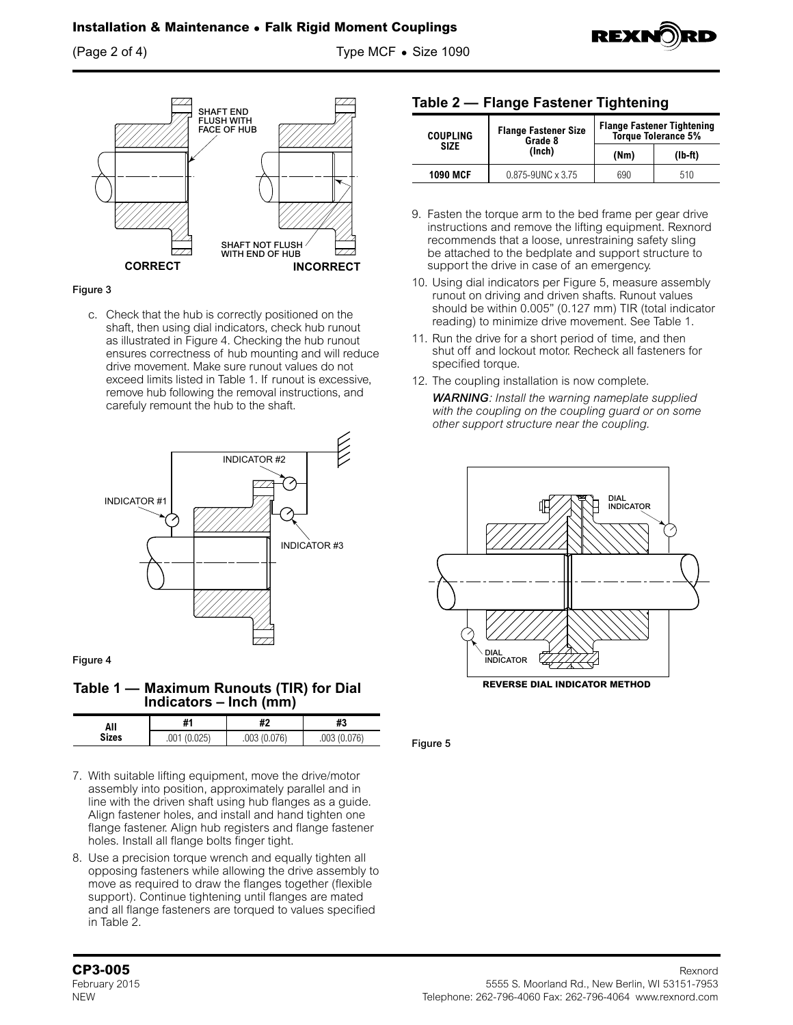(Page 2 of 4) Type MCF **•** Size 1090



#### Figure 3

c. Check that the hub is correctly positioned on the shaft, then using dial indicators, check hub runout as illustrated in Figure 4. Checking the hub runout ensures correctness of hub mounting and will reduce drive movement. Make sure runout values do not exceed limits listed in Table 1. If runout is excessive, remove hub following the removal instructions, and carefuly remount the hub to the shaft.



Figure 4

**Table 1 — Maximum Runouts (TIR) for Dial Indicators – Inch (mm)**

| All          | #1                     | щa<br>π                   | 40<br>ПS.       |
|--------------|------------------------|---------------------------|-----------------|
| <b>Sizes</b> | ገን5'<br>.UU I<br>U.ULJ | በ7ፎነ<br>.UU3 (<br>וט וט ט | .J.076)<br>.003 |

- 7. With suitable lifting equipment, move the drive/motor assembly into position, approximately parallel and in line with the driven shaft using hub flanges as a guide. Align fastener holes, and install and hand tighten one flange fastener. Align hub registers and flange fastener holes. Install all flange bolts finger tight.
- 8. Use a precision torque wrench and equally tighten all opposing fasteners while allowing the drive assembly to move as required to draw the flanges together (flexible support). Continue tightening until flanges are mated and all flange fasteners are torqued to values specified in Table 2.

### **Table 2 — Flange Fastener Tightening**

| <b>COUPLING</b> | <b>Flange Fastener Size</b><br>Grade 8 | <b>Flange Fastener Tightening</b><br>Torque Tolerance 5% |           |
|-----------------|----------------------------------------|----------------------------------------------------------|-----------|
| <b>SIZE</b>     | (Inch)                                 | (Mm)                                                     | $(Ib-ft)$ |
| <b>1090 MCF</b> | $0.875 - 9$ UNC $\times$ 3.75          | 690                                                      | 510       |

**REXN** 

- 9. Fasten the torque arm to the bed frame per gear drive instructions and remove the lifting equipment. Rexnord recommends that a loose, unrestraining safety sling be attached to the bedplate and support structure to support the drive in case of an emergency.
- 10. Using dial indicators per Figure 5, measure assembly runout on driving and driven shafts. Runout values should be within 0.005" (0.127 mm) TIR (total indicator reading) to minimize drive movement. See Table 1.
- 11. Run the drive for a short period of time, and then shut off and lockout motor. Recheck all fasteners for specified torque.
- 12. The coupling installation is now complete. *WARNING: Install the warning nameplate supplied with the coupling on the coupling guard or on some other support structure near the coupling.*



Figure 5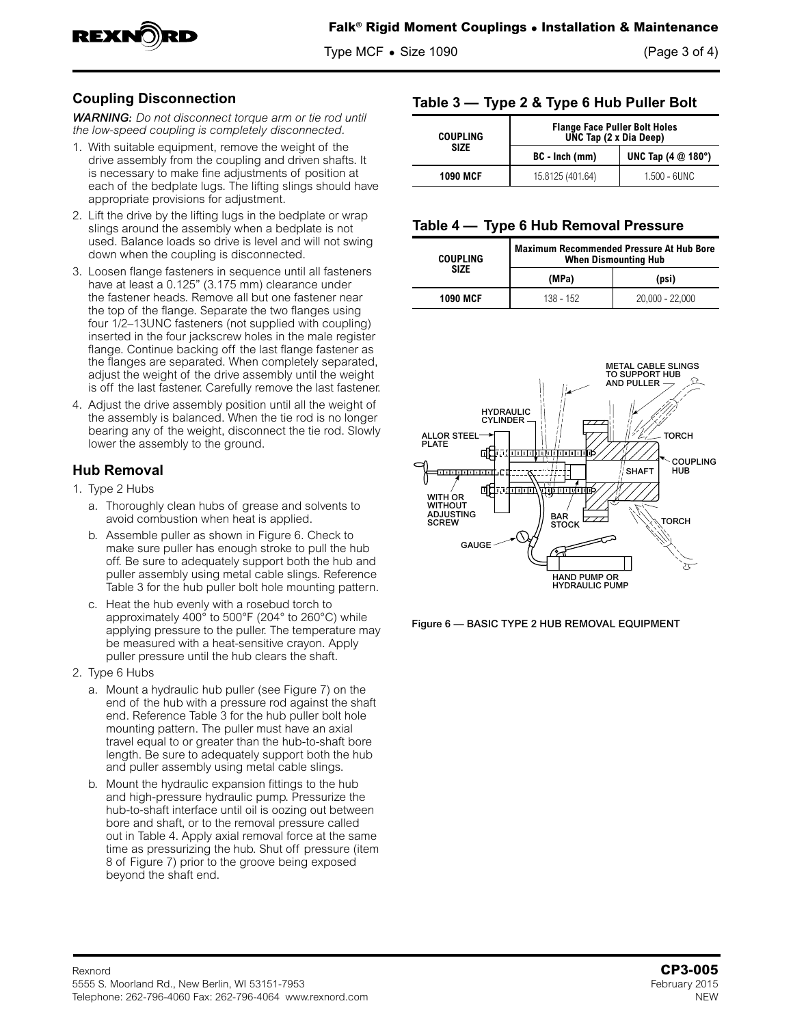

Type MCF **•** Size 1090 (Page 3 of 4)

# **Coupling Disconnection**

*WARNING: Do not disconnect torque arm or tie rod until the low-speed coupling is completely disconnected.*

- 1. With suitable equipment, remove the weight of the drive assembly from the coupling and driven shafts. It is necessary to make fine adjustments of position at each of the bedplate lugs. The lifting slings should have appropriate provisions for adjustment.
- 2. Lift the drive by the lifting lugs in the bedplate or wrap slings around the assembly when a bedplate is not used. Balance loads so drive is level and will not swing down when the coupling is disconnected.
- 3. Loosen flange fasteners in sequence until all fasteners have at least a 0.125" (3.175 mm) clearance under the fastener heads. Remove all but one fastener near the top of the flange. Separate the two flanges using four 1/2–13UNC fasteners (not supplied with coupling) inserted in the four jackscrew holes in the male register flange. Continue backing off the last flange fastener as the flanges are separated. When completely separated, adjust the weight of the drive assembly until the weight is off the last fastener. Carefully remove the last fastener.
- 4. Adjust the drive assembly position until all the weight of the assembly is balanced. When the tie rod is no longer bearing any of the weight, disconnect the tie rod. Slowly lower the assembly to the ground.

# **Hub Removal**

- 1. Type 2 Hubs
	- a. Thoroughly clean hubs of grease and solvents to avoid combustion when heat is applied.
	- b. Assemble puller as shown in Figure 6. Check to make sure puller has enough stroke to pull the hub off. Be sure to adequately support both the hub and puller assembly using metal cable slings. Reference Table 3 for the hub puller bolt hole mounting pattern.
	- c. Heat the hub evenly with a rosebud torch to approximately 400° to 500°F (204° to 260°C) while applying pressure to the puller. The temperature may be measured with a heat-sensitive crayon. Apply puller pressure until the hub clears the shaft.
- 2. Type 6 Hubs
	- a. Mount a hydraulic hub puller (see Figure 7) on the end of the hub with a pressure rod against the shaft end. Reference Table 3 for the hub puller bolt hole mounting pattern. The puller must have an axial travel equal to or greater than the hub-to-shaft bore length. Be sure to adequately support both the hub and puller assembly using metal cable slings.
	- b. Mount the hydraulic expansion fittings to the hub and high-pressure hydraulic pump. Pressurize the hub-to-shaft interface until oil is oozing out between bore and shaft, or to the removal pressure called out in Table 4. Apply axial removal force at the same time as pressurizing the hub. Shut off pressure (item 8 of Figure 7) prior to the groove being exposed beyond the shaft end.

# **Table 3 — Type 2 & Type 6 Hub Puller Bolt**

| <b>COUPLING</b> | <b>Flange Face Puller Bolt Holes</b><br>UNC Tap (2 x Dia Deep) |                                      |
|-----------------|----------------------------------------------------------------|--------------------------------------|
| <b>SIZE</b>     | BC - Inch (mm)                                                 | UNC Tap $(4 \text{ } @ 180^{\circ})$ |
| <b>1090 MCF</b> | 15.8125 (401.64)                                               | 1.500 - 6UNC                         |

### **Table 4 — Type 6 Hub Removal Pressure**

| <b>COUPLING</b> | <b>Maximum Recommended Pressure At Hub Bore</b><br><b>When Dismounting Hub</b> |                   |  |
|-----------------|--------------------------------------------------------------------------------|-------------------|--|
| SIZE            | (MPa)                                                                          | (psi)             |  |
| <b>1090 MCF</b> | 138 - 152                                                                      | $20.000 - 22.000$ |  |



Figure 6 — BASIC TYPE 2 HUB REMOVAL EQUIPMENT